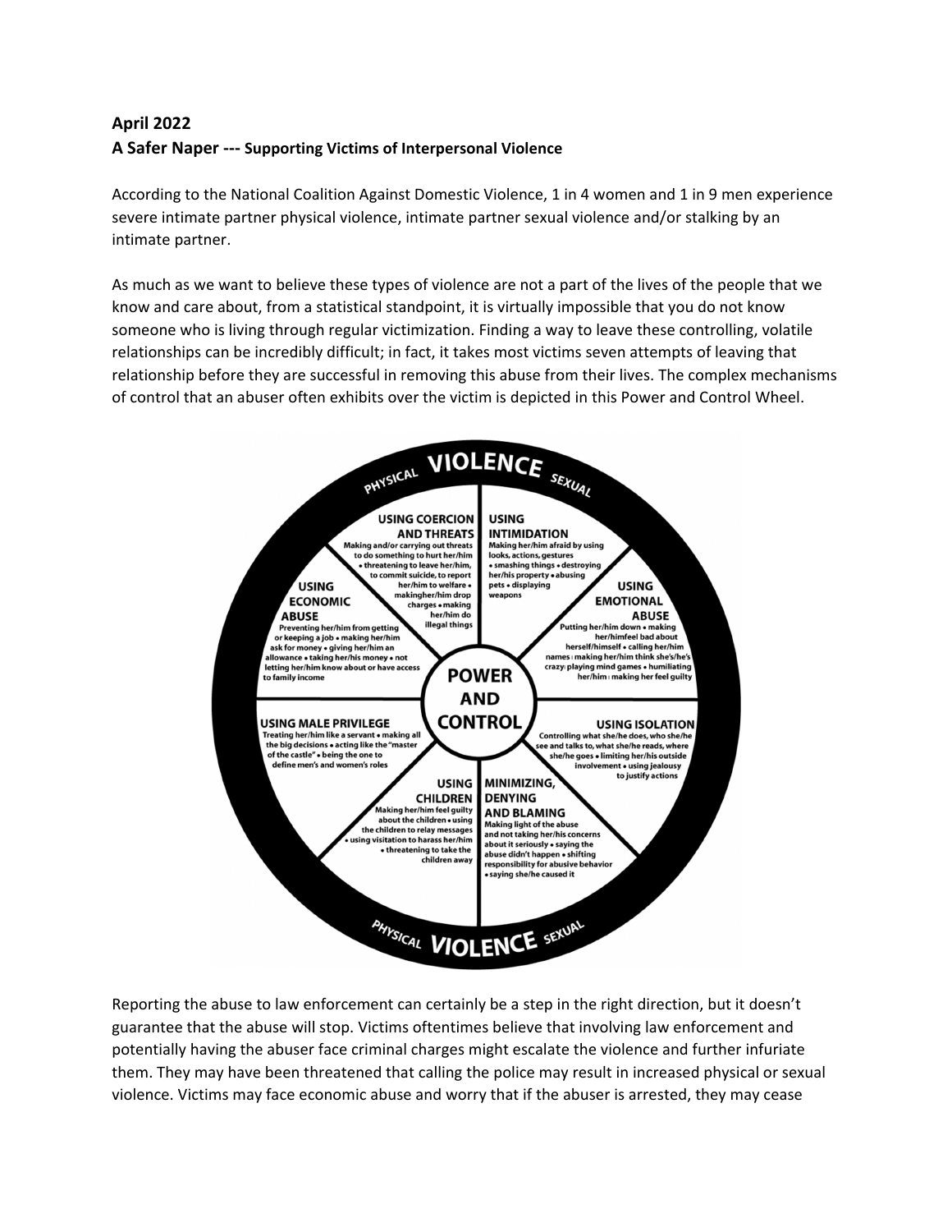## **April 2022 A Safer Naper ‐‐‐ Supporting Victims of Interpersonal Violence**

According to the National Coalition Against Domestic Violence, 1 in 4 women and 1 in 9 men experience severe intimate partner physical violence, intimate partner sexual violence and/or stalking by an intimate partner.

As much as we want to believe these types of violence are not a part of the lives of the people that we know and care about, from a statistical standpoint, it is virtually impossible that you do not know someone who is living through regular victimization. Finding a way to leave these controlling, volatile relationships can be incredibly difficult; in fact, it takes most victims seven attempts of leaving that relationship before they are successful in removing this abuse from their lives. The complex mechanisms of control that an abuser often exhibits over the victim is depicted in this Power and Control Wheel.



Reporting the abuse to law enforcement can certainly be a step in the right direction, but it doesn't guarantee that the abuse will stop. Victims oftentimes believe that involving law enforcement and potentially having the abuser face criminal charges might escalate the violence and further infuriate them. They may have been threatened that calling the police may result in increased physical or sexual violence. Victims may face economic abuse and worry that if the abuser is arrested, they may cease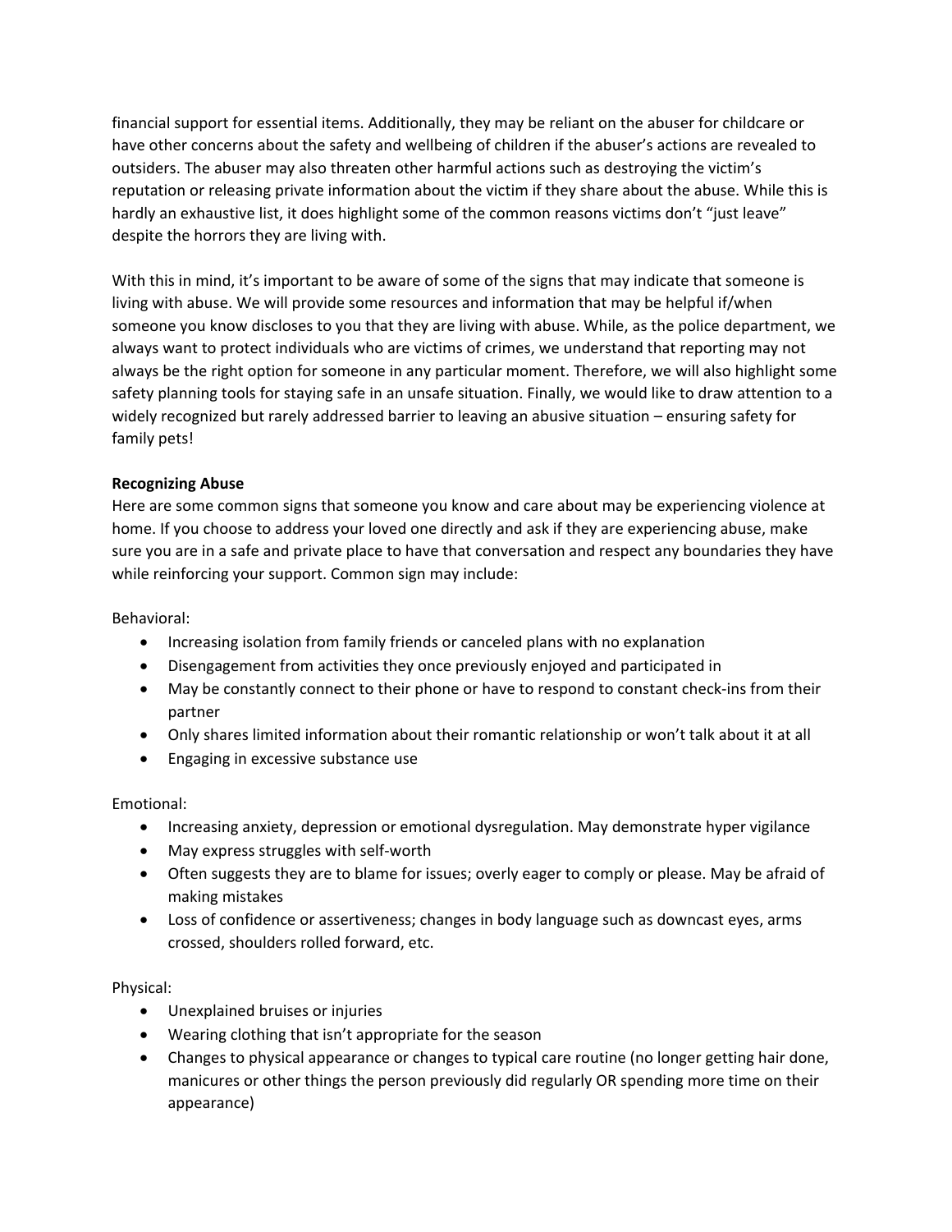financial support for essential items. Additionally, they may be reliant on the abuser for childcare or have other concerns about the safety and wellbeing of children if the abuser's actions are revealed to outsiders. The abuser may also threaten other harmful actions such as destroying the victim's reputation or releasing private information about the victim if they share about the abuse. While this is hardly an exhaustive list, it does highlight some of the common reasons victims don't "just leave" despite the horrors they are living with.

With this in mind, it's important to be aware of some of the signs that may indicate that someone is living with abuse. We will provide some resources and information that may be helpful if/when someone you know discloses to you that they are living with abuse. While, as the police department, we always want to protect individuals who are victims of crimes, we understand that reporting may not always be the right option for someone in any particular moment. Therefore, we will also highlight some safety planning tools for staying safe in an unsafe situation. Finally, we would like to draw attention to a widely recognized but rarely addressed barrier to leaving an abusive situation – ensuring safety for family pets!

## **Recognizing Abuse**

Here are some common signs that someone you know and care about may be experiencing violence at home. If you choose to address your loved one directly and ask if they are experiencing abuse, make sure you are in a safe and private place to have that conversation and respect any boundaries they have while reinforcing your support. Common sign may include:

Behavioral:

- Increasing isolation from family friends or canceled plans with no explanation
- Disengagement from activities they once previously enjoyed and participated in
- May be constantly connect to their phone or have to respond to constant check-ins from their partner
- Only shares limited information about their romantic relationship or won't talk about it at all
- Engaging in excessive substance use

Emotional:

- Increasing anxiety, depression or emotional dysregulation. May demonstrate hyper vigilance
- May express struggles with self-worth
- Often suggests they are to blame for issues; overly eager to comply or please. May be afraid of making mistakes
- Loss of confidence or assertiveness; changes in body language such as downcast eyes, arms crossed, shoulders rolled forward, etc.

Physical:

- Unexplained bruises or injuries
- Wearing clothing that isn't appropriate for the season
- Changes to physical appearance or changes to typical care routine (no longer getting hair done, manicures or other things the person previously did regularly OR spending more time on their appearance)